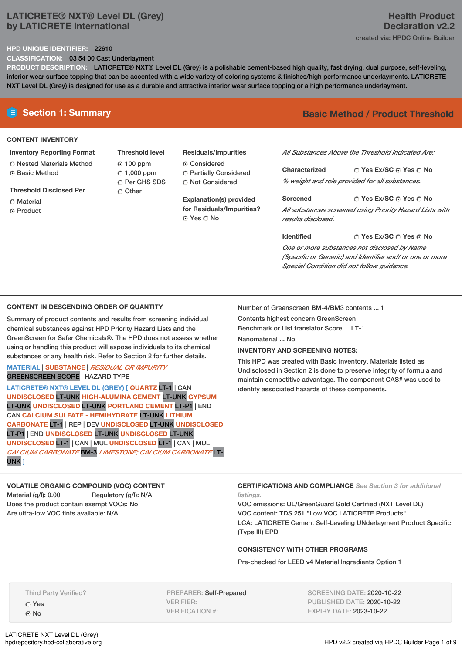# **LATICRETE® NXT® Level DL (Grey) by LATICRETE International**

#### **HPD UNIQUE IDENTIFIER:** 22610

**CLASSIFICATION:** 03 54 00 Cast Underlayment

**PRODUCT DESCRIPTION:** LATICRETE® NXT® Level DL (Grey) is a polishable cement-based high quality, fast drying, dual purpose, self-leveling, interior wear surface topping that can be accented with a wide variety of coloring systems & finishes/high performance underlayments. LATICRETE NXT Level DL (Grey) is designed for use as a durable and attractive interior wear surface topping or a high performance underlayment.

#### **CONTENT INVENTORY**

#### **Inventory Reporting Format**

- Nested Materials Method Basic Method
- **Threshold Disclosed Per**
- Material
- **C** Product

**Threshold level** 100 ppm  $\degree$  1,000 ppm C Per GHS SDS C Other

#### **Residuals/Impurities**

Considered

Partially Considered Not Considered

**Explanation(s) provided for Residuals/Impurities?** © Yes ∩ No

# **E** Section 1: Summary **Basic Method /** Product Threshold

*All Substances Above the Threshold Indicated Are:*

**Yes Ex/SC Yes No Characterized** *% weight and role provided for all substances.*

**Yes Ex/SC Yes No Screened** *All substances screened using Priority Hazard Lists with results disclosed.*

**Yes Ex/SC Yes No Identified**

*One or more substances not disclosed by Name (Specific or Generic) and Identifier and/ or one or more Special Condition did not follow guidance.*

#### **CONTENT IN DESCENDING ORDER OF QUANTITY**

Summary of product contents and results from screening individual chemical substances against HPD Priority Hazard Lists and the GreenScreen for Safer Chemicals®. The HPD does not assess whether using or handling this product will expose individuals to its chemical substances or any health risk. Refer to Section 2 for further details.

**MATERIAL** | **SUBSTANCE** | *RESIDUAL OR IMPURITY* GREENSCREEN SCORE | HAZARD TYPE

**LATICRETE® NXT® LEVEL DL (GREY) [ QUARTZ** LT-1 | CAN **UNDISCLOSED** LT-UNK **HIGH-ALUMINA CEMENT** LT-UNK **GYPSUM** LT-UNK **UNDISCLOSED** LT-UNK **PORTLAND CEMENT** LT-P1 | END | CAN **CALCIUM SULFATE - HEMIHYDRATE** LT-UNK **LITHIUM CARBONATE** LT-1 | REP | DEV **UNDISCLOSED** LT-UNK **UNDISCLOSED** LT-P1 | END **UNDISCLOSED** LT-UNK **UNDISCLOSED** LT-UNK **UNDISCLOSED** LT-1 | CAN | MUL **UNDISCLOSED** LT-1 | CAN | MUL *CALCIUM CARBONATE* BM-3 *LIMESTONE; CALCIUM CARBONATE* LT-UNK **]**

Number of Greenscreen BM-4/BM3 contents ... 1 Contents highest concern GreenScreen

Benchmark or List translator Score ... LT-1

Nanomaterial ... No

### **INVENTORY AND SCREENING NOTES:**

This HPD was created with Basic Inventory. Materials listed as Undisclosed in Section 2 is done to preserve integrity of formula and maintain competitive advantage. The component CAS# was used to identify associated hazards of these components.

### **VOLATILE ORGANIC COMPOUND (VOC) CONTENT**

Material (g/l): 0.00 Regulatory (g/l): N/A Does the product contain exempt VOCs: No Are ultra-low VOC tints available: N/A

**CERTIFICATIONS AND COMPLIANCE** *See Section 3 for additional listings.*

VOC emissions: UL/GreenGuard Gold Certified (NXT Level DL) VOC content: TDS 251 "Low VOC LATICRETE Products" LCA: LATICRETE Cement Self-Leveling UNderlayment Product Specific (Type III) EPD

#### **CONSISTENCY WITH OTHER PROGRAMS**

Pre-checked for LEED v4 Material Ingredients Option 1

Third Party Verified?

Yes No

PREPARER: Self-Prepared VERIFIER: VERIFICATION #:

SCREENING DATE: 2020-10-22 PUBLISHED DATE: 2020-10-22 EXPIRY DATE: 2023-10-22

# **Health Product Declaration v2.2** created via: HPDC Online Builder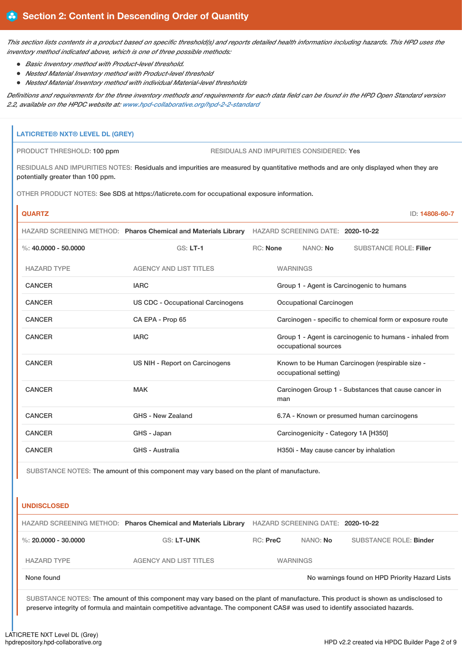This section lists contents in a product based on specific threshold(s) and reports detailed health information including hazards. This HPD uses the *inventory method indicated above, which is one of three possible methods:*

- *Basic Inventory method with Product-level threshold.*
- *Nested Material Inventory method with Product-level threshold*
- *Nested Material Inventory method with individual Material-level thresholds*

Definitions and requirements for the three inventory methods and requirements for each data field can be found in the HPD Open Standard version *2.2, available on the HPDC website at: [www.hpd-collaborative.org/hpd-2-2-standard](https://www.hpd-collaborative.org/hpd-2-2-standard)*

# **LATICRETE® NXT® LEVEL DL (GREY)** PRODUCT THRESHOLD: 100 ppm RESIDUALS AND IMPURITIES CONSIDERED: Yes RESIDUALS AND IMPURITIES NOTES: Residuals and impurities are measured by quantitative methods and are only displayed when they are potentially greater than 100 ppm. OTHER PRODUCT NOTES: See SDS at https://laticrete.com for occupational exposure information. **QUARTZ** ID: **14808-60-7** HAZARD SCREENING METHOD: **Pharos Chemical and Materials Library** HAZARD SCREENING DATE: **2020-10-22** %: **40.0000 - 50.0000** GS: **LT-1** RC: **None** NANO: **No** SUBSTANCE ROLE: **Filler** HAZARD TYPE AGENCY AND LIST TITLES WARNINGS CANCER **IARC** IARC **GROUP 1** - Agent is Carcinogenic to humans CANCER US CDC - Occupational Carcinogens Occupational Carcinogen CANCER CA EPA - Prop 65 Carcinogen - specific to chemical form or exposure route CANCER **IARC** IARC **GROUP 1** - Agent is carcinogenic to humans - inhaled from occupational sources CANCER **EXAMCER** US NIH - Report on Carcinogens Known to be Human Carcinogen (respirable size occupational setting) CANCER MAK MAK Carcinogen Group 1 - Substances that cause cancer in man CANCER GHS - New Zealand 6.7A - Known or presumed human carcinogens CANCER GHS - Japan Carcinogenicity - Category 1A [H350] CANCER GHS - Australia GHS - Australia H350i - May cause cancer by inhalation

SUBSTANCE NOTES: The amount of this component may vary based on the plant of manufacture.

#### **UNDISCLOSED**

|                      | HAZARD SCREENING METHOD: Pharos Chemical and Materials Library | HAZARD SCREENING DATE: 2020-10-22 |          |                                                |
|----------------------|----------------------------------------------------------------|-----------------------------------|----------|------------------------------------------------|
| %: 20,0000 - 30,0000 | <b>GS: LT-UNK</b>                                              | $RC:$ Pre $C$                     | NANO: No | SUBSTANCE ROLE: Binder                         |
| <b>HAZARD TYPE</b>   | <b>AGENCY AND LIST TITLES</b>                                  | <b>WARNINGS</b>                   |          |                                                |
| None found           |                                                                |                                   |          | No warnings found on HPD Priority Hazard Lists |

SUBSTANCE NOTES: The amount of this component may vary based on the plant of manufacture. This product is shown as undisclosed to preserve integrity of formula and maintain competitive advantage. The component CAS# was used to identify associated hazards.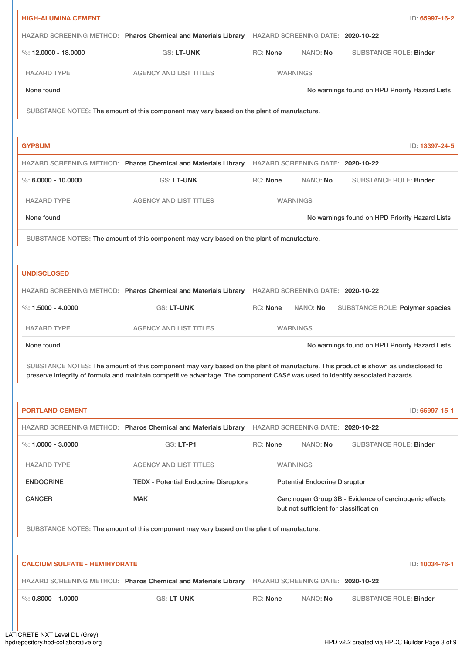| <b>HIGH-ALUMINA CEMENT</b>           |                                                                                                                                                                                                                                                                    |                 |                                       |                                                        | ID: 65997-16-2 |
|--------------------------------------|--------------------------------------------------------------------------------------------------------------------------------------------------------------------------------------------------------------------------------------------------------------------|-----------------|---------------------------------------|--------------------------------------------------------|----------------|
|                                      | HAZARD SCREENING METHOD: Pharos Chemical and Materials Library HAZARD SCREENING DATE: 2020-10-22                                                                                                                                                                   |                 |                                       |                                                        |                |
| %: $12,0000 - 18,0000$               | <b>GS: LT-UNK</b>                                                                                                                                                                                                                                                  | RC: None        | NANO: No                              | <b>SUBSTANCE ROLE: Binder</b>                          |                |
| <b>HAZARD TYPE</b>                   | <b>AGENCY AND LIST TITLES</b>                                                                                                                                                                                                                                      |                 | <b>WARNINGS</b>                       |                                                        |                |
| None found                           |                                                                                                                                                                                                                                                                    |                 |                                       | No warnings found on HPD Priority Hazard Lists         |                |
|                                      | SUBSTANCE NOTES: The amount of this component may vary based on the plant of manufacture.                                                                                                                                                                          |                 |                                       |                                                        |                |
|                                      |                                                                                                                                                                                                                                                                    |                 |                                       |                                                        |                |
| <b>GYPSUM</b>                        |                                                                                                                                                                                                                                                                    |                 |                                       |                                                        | ID: 13397-24-5 |
|                                      | HAZARD SCREENING METHOD: Pharos Chemical and Materials Library HAZARD SCREENING DATE: 2020-10-22                                                                                                                                                                   |                 |                                       |                                                        |                |
| %: $6,0000 - 10,0000$                | <b>GS: LT-UNK</b>                                                                                                                                                                                                                                                  | RC: None        | NANO: No                              | <b>SUBSTANCE ROLE: Binder</b>                          |                |
| <b>HAZARD TYPE</b>                   | <b>AGENCY AND LIST TITLES</b>                                                                                                                                                                                                                                      |                 | <b>WARNINGS</b>                       |                                                        |                |
| None found                           |                                                                                                                                                                                                                                                                    |                 |                                       | No warnings found on HPD Priority Hazard Lists         |                |
|                                      | SUBSTANCE NOTES: The amount of this component may vary based on the plant of manufacture.                                                                                                                                                                          |                 |                                       |                                                        |                |
|                                      |                                                                                                                                                                                                                                                                    |                 |                                       |                                                        |                |
| <b>UNDISCLOSED</b>                   |                                                                                                                                                                                                                                                                    |                 |                                       |                                                        |                |
|                                      | HAZARD SCREENING METHOD: Pharos Chemical and Materials Library                                                                                                                                                                                                     |                 | HAZARD SCREENING DATE: 2020-10-22     |                                                        |                |
| %: $1.5000 - 4.0000$                 | <b>GS: LT-UNK</b>                                                                                                                                                                                                                                                  | RC: None        | NANO: No                              | SUBSTANCE ROLE: Polymer species                        |                |
| <b>HAZARD TYPE</b>                   | <b>AGENCY AND LIST TITLES</b>                                                                                                                                                                                                                                      |                 | <b>WARNINGS</b>                       |                                                        |                |
| None found                           |                                                                                                                                                                                                                                                                    |                 |                                       | No warnings found on HPD Priority Hazard Lists         |                |
|                                      | SUBSTANCE NOTES: The amount of this component may vary based on the plant of manufacture. This product is shown as undisclosed to<br>preserve integrity of formula and maintain competitive advantage. The component CAS# was used to identify associated hazards. |                 |                                       |                                                        |                |
|                                      |                                                                                                                                                                                                                                                                    |                 |                                       |                                                        |                |
| <b>PORTLAND CEMENT</b>               |                                                                                                                                                                                                                                                                    |                 |                                       |                                                        | ID: 65997-15-1 |
|                                      | HAZARD SCREENING METHOD: Pharos Chemical and Materials Library                                                                                                                                                                                                     |                 | HAZARD SCREENING DATE: 2020-10-22     |                                                        |                |
| %: 1.0000 - 3.0000                   | <b>GS: LT-P1</b>                                                                                                                                                                                                                                                   | <b>RC: None</b> | NANO: No                              | <b>SUBSTANCE ROLE: Binder</b>                          |                |
| <b>HAZARD TYPE</b>                   | <b>AGENCY AND LIST TITLES</b>                                                                                                                                                                                                                                      |                 | <b>WARNINGS</b>                       |                                                        |                |
| <b>ENDOCRINE</b>                     | <b>TEDX - Potential Endocrine Disruptors</b>                                                                                                                                                                                                                       |                 | <b>Potential Endocrine Disruptor</b>  |                                                        |                |
| <b>CANCER</b>                        | <b>MAK</b>                                                                                                                                                                                                                                                         |                 | but not sufficient for classification | Carcinogen Group 3B - Evidence of carcinogenic effects |                |
|                                      | SUBSTANCE NOTES: The amount of this component may vary based on the plant of manufacture.                                                                                                                                                                          |                 |                                       |                                                        |                |
|                                      |                                                                                                                                                                                                                                                                    |                 |                                       |                                                        |                |
| <b>CALCIUM SULFATE - HEMIHYDRATE</b> |                                                                                                                                                                                                                                                                    |                 |                                       |                                                        | ID: 10034-76-1 |
|                                      | HAZARD SCREENING METHOD: Pharos Chemical and Materials Library                                                                                                                                                                                                     |                 | HAZARD SCREENING DATE: 2020-10-22     |                                                        |                |
| $\%$ : 0.8000 - 1.0000               | GS: LT-UNK                                                                                                                                                                                                                                                         | <b>RC: None</b> | NANO: No                              | <b>SUBSTANCE ROLE: Binder</b>                          |                |
|                                      |                                                                                                                                                                                                                                                                    |                 |                                       |                                                        |                |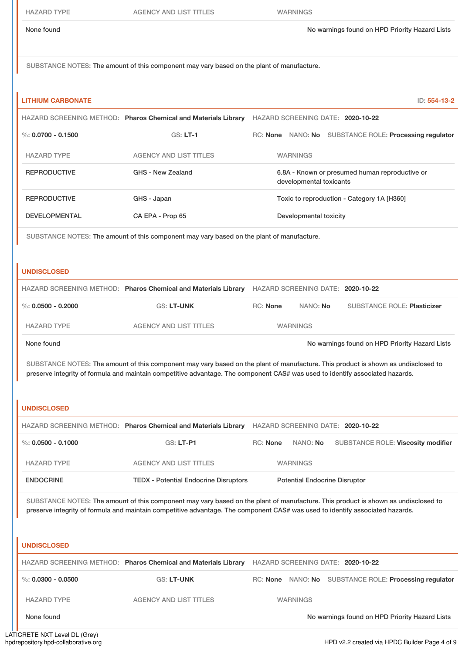None found Now arrings found on HPD Priority Hazard Lists

SUBSTANCE NOTES: The amount of this component may vary based on the plant of manufacture.

| <b>LITHIUM CARBONATE</b> |                                                                                           | ID: 554-13-2                                                                                                                                                                                                                                                       |
|--------------------------|-------------------------------------------------------------------------------------------|--------------------------------------------------------------------------------------------------------------------------------------------------------------------------------------------------------------------------------------------------------------------|
|                          | HAZARD SCREENING METHOD: Pharos Chemical and Materials Library                            | HAZARD SCREENING DATE: 2020-10-22                                                                                                                                                                                                                                  |
| $\%: 0.0700 - 0.1500$    | $GS: LT-1$                                                                                | RC: None NANO: No SUBSTANCE ROLE: Processing regulator                                                                                                                                                                                                             |
| <b>HAZARD TYPE</b>       | <b>AGENCY AND LIST TITLES</b>                                                             | <b>WARNINGS</b>                                                                                                                                                                                                                                                    |
| <b>REPRODUCTIVE</b>      | GHS - New Zealand                                                                         | 6.8A - Known or presumed human reproductive or<br>developmental toxicants                                                                                                                                                                                          |
| <b>REPRODUCTIVE</b>      | GHS - Japan                                                                               | Toxic to reproduction - Category 1A [H360]                                                                                                                                                                                                                         |
| <b>DEVELOPMENTAL</b>     | CA EPA - Prop 65                                                                          | Developmental toxicity                                                                                                                                                                                                                                             |
| <b>UNDISCLOSED</b>       | SUBSTANCE NOTES: The amount of this component may vary based on the plant of manufacture. |                                                                                                                                                                                                                                                                    |
|                          | HAZARD SCREENING METHOD: Pharos Chemical and Materials Library                            | HAZARD SCREENING DATE: 2020-10-22                                                                                                                                                                                                                                  |
| %: $0.0500 - 0.2000$     | GS: LT-UNK                                                                                | RC: None<br>NANO: No<br><b>SUBSTANCE ROLE: Plasticizer</b>                                                                                                                                                                                                         |
| <b>HAZARD TYPE</b>       | <b>AGENCY AND LIST TITLES</b>                                                             | <b>WARNINGS</b>                                                                                                                                                                                                                                                    |
| None found               |                                                                                           | No warnings found on HPD Priority Hazard Lists                                                                                                                                                                                                                     |
|                          |                                                                                           | SUBSTANCE NOTES: The amount of this component may vary based on the plant of manufacture. This product is shown as undisclosed to<br>preserve integrity of formula and maintain competitive advantage. The component CAS# was used to identify associated hazards. |
| <b>UNDISCLOSED</b>       |                                                                                           |                                                                                                                                                                                                                                                                    |
|                          |                                                                                           | HAZARD SCREENING METHOD: Pharos Chemical and Materials Library HAZARD SCREENING DATE: 2020-10-22                                                                                                                                                                   |
| %: $0.0500 - 0.1000$     | <b>GS: LT-P1</b>                                                                          | RC: None<br>NANO: No<br>SUBSTANCE ROLE: Viscosity modifier                                                                                                                                                                                                         |
| <b>HAZARD TYPE</b>       | <b>AGENCY AND LIST TITLES</b>                                                             | <b>WARNINGS</b>                                                                                                                                                                                                                                                    |
| <b>ENDOCRINE</b>         | <b>TEDX - Potential Endocrine Disruptors</b>                                              | <b>Potential Endocrine Disruptor</b>                                                                                                                                                                                                                               |
|                          |                                                                                           | SUBSTANCE NOTES: The amount of this component may vary based on the plant of manufacture. This product is shown as undisclosed to<br>preserve integrity of formula and maintain competitive advantage. The component CAS# was used to identify associated hazards. |
| <b>UNDISCLOSED</b>       |                                                                                           |                                                                                                                                                                                                                                                                    |
|                          |                                                                                           | HAZARD SCREENING METHOD: Pharos Chemical and Materials Library HAZARD SCREENING DATE: 2020-10-22                                                                                                                                                                   |
| %: $0.0300 - 0.0500$     | GS: LT-UNK                                                                                | RC: None NANO: No SUBSTANCE ROLE: Processing regulator                                                                                                                                                                                                             |

None found Now arrings found on HPD Priority Hazard Lists

LATICRETE NXT Level DL (Grey)<br>hpdrepository.hpd-collaborative.org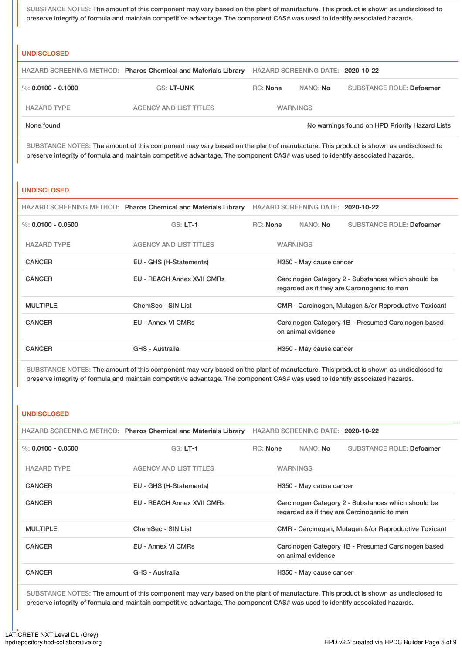SUBSTANCE NOTES: The amount of this component may vary based on the plant of manufacture. This product is shown as undisclosed to preserve integrity of formula and maintain competitive advantage. The component CAS# was used to identify associated hazards.

#### **UNDISCLOSED**

|                        | HAZARD SCREENING METHOD: Pharos Chemical and Materials Library |                 | HAZARD SCREENING DATE: 2020-10-22 |                                                |
|------------------------|----------------------------------------------------------------|-----------------|-----------------------------------|------------------------------------------------|
| $\%$ : 0.0100 - 0.1000 | <b>GS: LT-UNK</b>                                              | <b>RC:</b> None | NANO: No                          | <b>SUBSTANCE ROLE: Defoamer</b>                |
| <b>HAZARD TYPE</b>     | <b>AGENCY AND LIST TITLES</b>                                  |                 | <b>WARNINGS</b>                   |                                                |
| None found             |                                                                |                 |                                   | No warnings found on HPD Priority Hazard Lists |

SUBSTANCE NOTES: The amount of this component may vary based on the plant of manufacture. This product is shown as undisclosed to preserve integrity of formula and maintain competitive advantage. The component CAS# was used to identify associated hazards.

#### **UNDISCLOSED**

|                      | HAZARD SCREENING METHOD: Pharos Chemical and Materials Library | HAZARD SCREENING DATE: 2020-10-22                                                                 |                                                                          |          |                                 |
|----------------------|----------------------------------------------------------------|---------------------------------------------------------------------------------------------------|--------------------------------------------------------------------------|----------|---------------------------------|
| %: $0.0100 - 0.0500$ | $GS: LT-1$                                                     | RC: None                                                                                          |                                                                          | NANO: No | <b>SUBSTANCE ROLE: Defoamer</b> |
| <b>HAZARD TYPE</b>   | <b>AGENCY AND LIST TITLES</b>                                  | <b>WARNINGS</b>                                                                                   |                                                                          |          |                                 |
| <b>CANCER</b>        | EU - GHS (H-Statements)                                        | H350 - May cause cancer                                                                           |                                                                          |          |                                 |
| <b>CANCER</b>        | <b>EU - REACH Annex XVII CMRs</b>                              | Carcinogen Category 2 - Substances which should be<br>regarded as if they are Carcinogenic to man |                                                                          |          |                                 |
| <b>MULTIPLE</b>      | ChemSec - SIN List                                             | CMR - Carcinogen, Mutagen &/or Reproductive Toxicant                                              |                                                                          |          |                                 |
| <b>CANCER</b>        | EU - Annex VI CMRs                                             |                                                                                                   | Carcinogen Category 1B - Presumed Carcinogen based<br>on animal evidence |          |                                 |
| <b>CANCER</b>        | GHS - Australia                                                | H350 - May cause cancer                                                                           |                                                                          |          |                                 |

SUBSTANCE NOTES: The amount of this component may vary based on the plant of manufacture. This product is shown as undisclosed to preserve integrity of formula and maintain competitive advantage. The component CAS# was used to identify associated hazards.

#### **UNDISCLOSED**

|                      | HAZARD SCREENING METHOD: Pharos Chemical and Materials Library | HAZARD SCREENING DATE: 2020-10-22                                                                 |                                                                          |                         |                                 |
|----------------------|----------------------------------------------------------------|---------------------------------------------------------------------------------------------------|--------------------------------------------------------------------------|-------------------------|---------------------------------|
| %: $0.0100 - 0.0500$ | $GS: LT-1$                                                     | <b>RC:</b> None                                                                                   |                                                                          | NANO: No                | <b>SUBSTANCE ROLE: Defoamer</b> |
| <b>HAZARD TYPE</b>   | <b>AGENCY AND LIST TITLES</b>                                  | <b>WARNINGS</b>                                                                                   |                                                                          |                         |                                 |
| <b>CANCER</b>        | EU - GHS (H-Statements)                                        | H350 - May cause cancer                                                                           |                                                                          |                         |                                 |
| <b>CANCER</b>        | <b>EU - REACH Annex XVII CMRs</b>                              | Carcinogen Category 2 - Substances which should be<br>regarded as if they are Carcinogenic to man |                                                                          |                         |                                 |
| <b>MULTIPLE</b>      | ChemSec - SIN List                                             |                                                                                                   | CMR - Carcinogen, Mutagen &/or Reproductive Toxicant                     |                         |                                 |
| <b>CANCER</b>        | EU - Annex VI CMRs                                             |                                                                                                   | Carcinogen Category 1B - Presumed Carcinogen based<br>on animal evidence |                         |                                 |
| <b>CANCER</b>        | <b>GHS - Australia</b>                                         |                                                                                                   |                                                                          | H350 - May cause cancer |                                 |

SUBSTANCE NOTES: The amount of this component may vary based on the plant of manufacture. This product is shown as undisclosed to preserve integrity of formula and maintain competitive advantage. The component CAS# was used to identify associated hazards.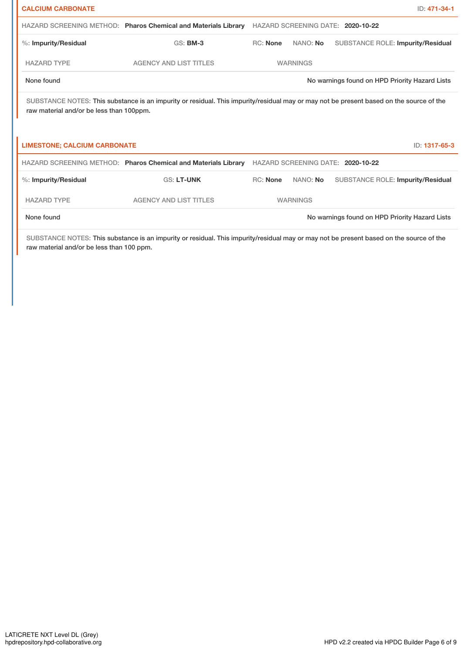| <b>CALCIUM CARBONATE</b>                 |                                                                                                                                         |                 |                 | ID: 471-34-1                                   |
|------------------------------------------|-----------------------------------------------------------------------------------------------------------------------------------------|-----------------|-----------------|------------------------------------------------|
|                                          | HAZARD SCREENING METHOD: Pharos Chemical and Materials Library                                                                          |                 |                 | HAZARD SCREENING DATE: 2020-10-22              |
| %: Impurity/Residual                     | $GS:$ BM-3                                                                                                                              | <b>RC: None</b> | NANO: No        | <b>SUBSTANCE ROLE: Impurity/Residual</b>       |
| <b>HAZARD TYPE</b>                       | <b>AGENCY AND LIST TITLES</b>                                                                                                           | <b>WARNINGS</b> |                 |                                                |
| None found                               |                                                                                                                                         |                 |                 | No warnings found on HPD Priority Hazard Lists |
| raw material and/or be less than 100ppm. | SUBSTANCE NOTES: This substance is an impurity or residual. This impurity/residual may or may not be present based on the source of the |                 |                 |                                                |
| <b>LIMESTONE; CALCIUM CARBONATE</b>      |                                                                                                                                         |                 |                 | ID: 1317-65-3                                  |
|                                          | HAZARD SCREENING METHOD: Pharos Chemical and Materials Library                                                                          |                 |                 | HAZARD SCREENING DATE: 2020-10-22              |
| %: Impurity/Residual                     | <b>GS: LT-UNK</b>                                                                                                                       | <b>RC: None</b> | NANO: No        | <b>SUBSTANCE ROLE: Impurity/Residual</b>       |
| <b>HAZARD TYPE</b>                       | <b>AGENCY AND LIST TITLES</b>                                                                                                           |                 | <b>WARNINGS</b> |                                                |
| None found                               |                                                                                                                                         |                 |                 | No warnings found on HPD Priority Hazard Lists |

SUBSTANCE NOTES: This substance is an impurity or residual. This impurity/residual may or may not be present based on the source of the raw material and/or be less than 100 ppm.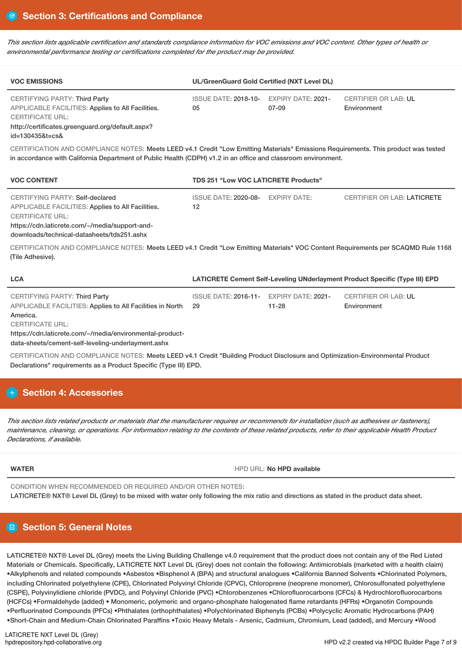This section lists applicable certification and standards compliance information for VOC emissions and VOC content. Other types of health or *environmental performance testing or certifications completed for the product may be provided.*

| <b>VOC EMISSIONS</b>                                                                                                                                                     | UL/GreenGuard Gold Certified (NXT Level DL)   |       |                                            |  |  |
|--------------------------------------------------------------------------------------------------------------------------------------------------------------------------|-----------------------------------------------|-------|--------------------------------------------|--|--|
| <b>CERTIFYING PARTY: Third Party</b><br>APPLICABLE FACILITIES: Applies to All Facilities.<br><b>CERTIFICATE URL:</b><br>http://certificates.greenguard.org/default.aspx? | ISSUE DATE: 2018-10- EXPIRY DATE: 2021-<br>05 | 07-09 | <b>CERTIFIER OR LAB: UL</b><br>Environment |  |  |

id=130435&t=cs&

CERTIFICATION AND COMPLIANCE NOTES: Meets LEED v4.1 Credit "Low Emitting Materials" Emissions Requirements. This product was tested in accordance with California Department of Public Health (CDPH) v1.2 in an office and classroom environment.

| <b>VOC CONTENT</b>                                                                                                                                                                                              | <b>TDS 251 "Low VOC LATICRETE Products"</b> |  |                                    |  |  |
|-----------------------------------------------------------------------------------------------------------------------------------------------------------------------------------------------------------------|---------------------------------------------|--|------------------------------------|--|--|
| CERTIFYING PARTY: Self-declared<br>APPLICABLE FACILITIES: Applies to All Facilities.<br><b>CERTIFICATE URL:</b><br>https://cdn.laticrete.com/~/media/support-and-<br>downloads/technical-datasheets/tds251.ashx | ISSUE DATE: 2020-08- EXPIRY DATE:<br>12     |  | <b>CERTIFIER OR LAB: LATICRETE</b> |  |  |

CERTIFICATION AND COMPLIANCE NOTES: Meets LEED v4.1 Credit "Low Emitting Materials" VOC Content Requirements per SCAQMD Rule 1168 (Tile Adhesive).

| <b>LCA</b>                                                                                        | LATICRETE Cement Self-Leveling UNderlayment Product Specific (Type III) EPD |           |                                            |  |  |
|---------------------------------------------------------------------------------------------------|-----------------------------------------------------------------------------|-----------|--------------------------------------------|--|--|
| <b>CERTIFYING PARTY: Third Party</b><br>APPLICABLE FACILITIES: Applies to All Facilities in North | ISSUE DATE: 2016-11- EXPIRY DATE: 2021-<br>-29                              | $11 - 28$ | <b>CERTIFIER OR LAB: UL</b><br>Environment |  |  |
| America.                                                                                          |                                                                             |           |                                            |  |  |
| <b>CERTIFICATE URL:</b>                                                                           |                                                                             |           |                                            |  |  |
| https://cdn.laticrete.com/~/media/environmental-product-                                          |                                                                             |           |                                            |  |  |
| data-sheets/cement-self-leveling-underlayment.ashx                                                |                                                                             |           |                                            |  |  |

CERTIFICATION AND COMPLIANCE NOTES: Meets LEED v4.1 Credit "Building Product Disclosure and Optimization-Environmental Product Declarations" requirements as a Product Specific (Type III) EPD.

# **Section 4: Accessories**

This section lists related products or materials that the manufacturer requires or recommends for installation (such as adhesives or fasteners), maintenance, cleaning, or operations. For information relating to the contents of these related products, refer to their applicable Health Product *Declarations, if available.*

**WATER WATER HPD WATER HPD WATER M** 

CONDITION WHEN RECOMMENDED OR REQUIRED AND/OR OTHER NOTES: LATICRETE® NXT® Level DL (Grey) to be mixed with water only following the mix ratio and directions as stated in the product data sheet.

# **Section 5: General Notes**

LATICRETE® NXT® Level DL (Grey) meets the Living Building Challenge v4.0 requirement that the product does not contain any of the Red Listed Materials or Chemicals. Specifically, LATICRETE NXT Level DL (Grey) does not contain the following: Antimicrobials (marketed with a health claim) •Alkylphenols and related compounds •Asbestos •Bisphenol A (BPA) and structural analogues •California Banned Solvents •Chlorinated Polymers, including Chlorinated polyethylene (CPE), Chlorinated Polyvinyl Chloride (CPVC), Chloroprene (neoprene monomer), Chlorosulfonated polyethylene (CSPE), Polyvinylidiene chloride (PVDC), and Polyvinyl Chloride (PVC) •Chlorobenzenes •Chlorofluorocarbons (CFCs) & Hydrochlorofluorocarbons (HCFCs) •Formaldehyde (added) • Monomeric, polymeric and organo-phosphate halogenated flame retardants (HFRs) •Organotin Compounds •Perfluorinated Compounds (PFCs) •Phthalates (orthophthalates) •Polychlorinated Biphenyls (PCBs) •Polycyclic Aromatic Hydrocarbons (PAH) •Short-Chain and Medium-Chain Chlorinated Paraffins •Toxic Heavy Metals - Arsenic, Cadmium, Chromium, Lead (added), and Mercury •Wood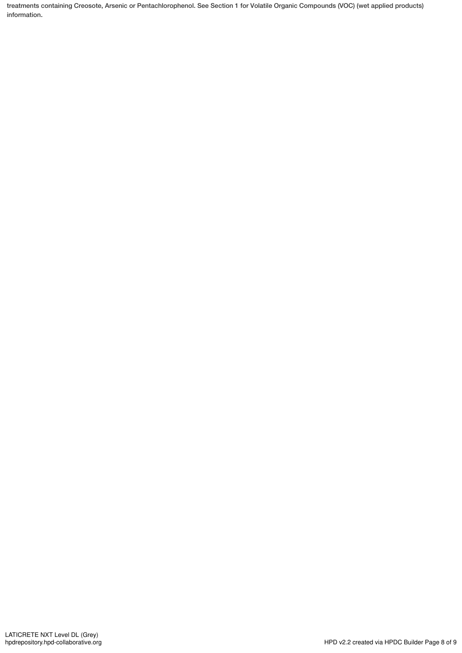treatments containing Creosote, Arsenic or Pentachlorophenol. See Section 1 for Volatile Organic Compounds (VOC) (wet applied products) information.